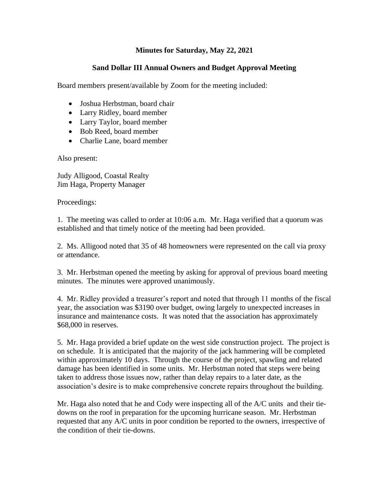## **Minutes for Saturday, May 22, 2021**

## **Sand Dollar III Annual Owners and Budget Approval Meeting**

Board members present/available by Zoom for the meeting included:

- Joshua Herbstman, board chair
- Larry Ridley, board member
- Larry Taylor, board member
- Bob Reed, board member
- Charlie Lane, board member

Also present:

Judy Alligood, Coastal Realty Jim Haga, Property Manager

Proceedings:

1. The meeting was called to order at 10:06 a.m. Mr. Haga verified that a quorum was established and that timely notice of the meeting had been provided.

2. Ms. Alligood noted that 35 of 48 homeowners were represented on the call via proxy or attendance.

3. Mr. Herbstman opened the meeting by asking for approval of previous board meeting minutes. The minutes were approved unanimously.

4. Mr. Ridley provided a treasurer's report and noted that through 11 months of the fiscal year, the association was \$3190 over budget, owing largely to unexpected increases in insurance and maintenance costs. It was noted that the association has approximately \$68,000 in reserves.

5. Mr. Haga provided a brief update on the west side construction project. The project is on schedule. It is anticipated that the majority of the jack hammering will be completed within approximately 10 days. Through the course of the project, spawling and related damage has been identified in some units. Mr. Herbstman noted that steps were being taken to address those issues now, rather than delay repairs to a later date, as the association's desire is to make comprehensive concrete repairs throughout the building.

Mr. Haga also noted that he and Cody were inspecting all of the A/C units and their tiedowns on the roof in preparation for the upcoming hurricane season. Mr. Herbstman requested that any A/C units in poor condition be reported to the owners, irrespective of the condition of their tie-downs.